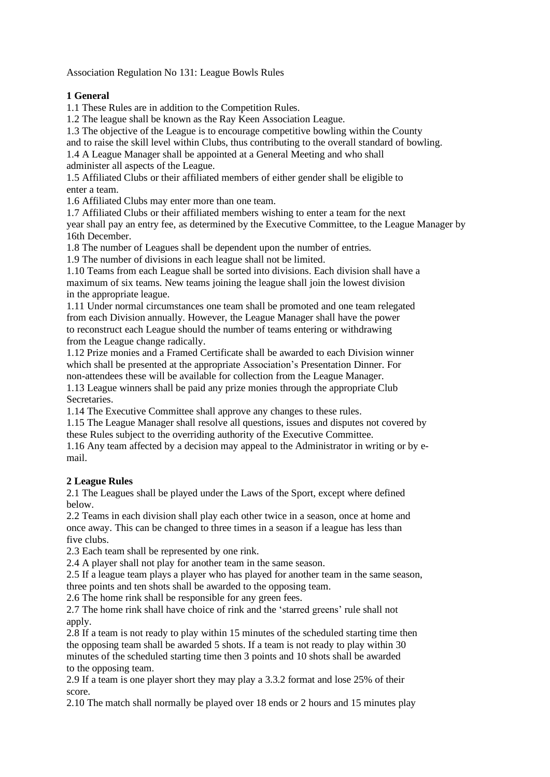Association Regulation No 131: League Bowls Rules

## **1 General**

1.1 These Rules are in addition to the Competition Rules.

1.2 The league shall be known as the Ray Keen Association League.

1.3 The objective of the League is to encourage competitive bowling within the County

and to raise the skill level within Clubs, thus contributing to the overall standard of bowling.

1.4 A League Manager shall be appointed at a General Meeting and who shall administer all aspects of the League.

1.5 Affiliated Clubs or their affiliated members of either gender shall be eligible to enter a team.

1.6 Affiliated Clubs may enter more than one team.

1.7 Affiliated Clubs or their affiliated members wishing to enter a team for the next

year shall pay an entry fee, as determined by the Executive Committee, to the League Manager by 16th December.

1.8 The number of Leagues shall be dependent upon the number of entries.

1.9 The number of divisions in each league shall not be limited.

1.10 Teams from each League shall be sorted into divisions. Each division shall have a maximum of six teams. New teams joining the league shall join the lowest division in the appropriate league.

1.11 Under normal circumstances one team shall be promoted and one team relegated from each Division annually. However, the League Manager shall have the power to reconstruct each League should the number of teams entering or withdrawing from the League change radically.

1.12 Prize monies and a Framed Certificate shall be awarded to each Division winner which shall be presented at the appropriate Association's Presentation Dinner. For non-attendees these will be available for collection from the League Manager. 1.13 League winners shall be paid any prize monies through the appropriate Club

Secretaries.

1.14 The Executive Committee shall approve any changes to these rules.

1.15 The League Manager shall resolve all questions, issues and disputes not covered by these Rules subject to the overriding authority of the Executive Committee.

1.16 Any team affected by a decision may appeal to the Administrator in writing or by email.

## **2 League Rules**

2.1 The Leagues shall be played under the Laws of the Sport, except where defined below.

2.2 Teams in each division shall play each other twice in a season, once at home and once away. This can be changed to three times in a season if a league has less than five clubs.

2.3 Each team shall be represented by one rink.

2.4 A player shall not play for another team in the same season.

2.5 If a league team plays a player who has played for another team in the same season, three points and ten shots shall be awarded to the opposing team.

2.6 The home rink shall be responsible for any green fees.

2.7 The home rink shall have choice of rink and the 'starred greens' rule shall not apply.

2.8 If a team is not ready to play within 15 minutes of the scheduled starting time then the opposing team shall be awarded 5 shots. If a team is not ready to play within 30 minutes of the scheduled starting time then 3 points and 10 shots shall be awarded to the opposing team.

2.9 If a team is one player short they may play a 3.3.2 format and lose 25% of their score.

2.10 The match shall normally be played over 18 ends or 2 hours and 15 minutes play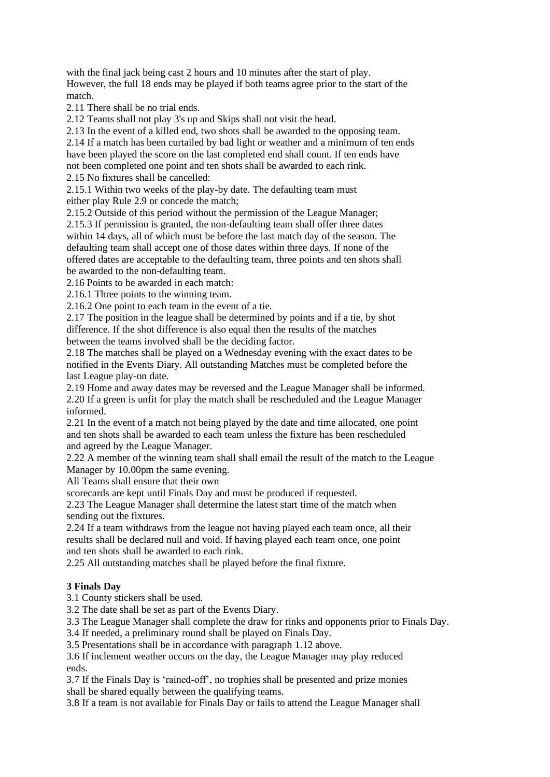with the final jack being cast 2 hours and 10 minutes after the start of play. However, the full 18 ends may be played if both teams agree prior to the start of the match.

2.11 There shall be no trial ends.

2.12 Teams shall not play 3's up and Skips shall not visit the head.

2.13 In the event of a killed end, two shots shall be awarded to the opposing team.

2.14 If a match has been curtailed by bad light or weather and a minimum of ten ends

have been played the score on the last completed end shall count. If ten ends have not been completed one point and ten shots shall be awarded to each rink.

2.15 No fixtures shall be cancelled:

2.15.1 Within two weeks of the play-by date. The defaulting team must either play Rule 2.9 or concede the match;

2.15.2 Outside of this period without the permission of the League Manager;

2.15.3 If permission is granted, the non-defaulting team shall offer three dates within 14 days, all of which must be before the last match day of the season. The defaulting team shall accept one of those dates within three days. If none of the offered dates are acceptable to the defaulting team, three points and ten shots shall be awarded to the non-defaulting team.

2.16 Points to be awarded in each match:

2.16.1 Three points to the winning team.

2.16.2 One point to each team in the event of a tie.

2.17 The position in the league shall be determined by points and if a tie, by shot difference. If the shot difference is also equal then the results of the matches between the teams involved shall be the deciding factor.

2.18 The matches shall be played on a Wednesday evening with the exact dates to be notified in the Events Diary. All outstanding Matches must be completed before the last League play-on date.

2.19 Home and away dates may be reversed and the League Manager shall be informed. 2.20 If a green is unfit for play the match shall be rescheduled and the League Manager informed.

2.21 In the event of a match not being played by the date and time allocated, one point and ten shots shall be awarded to each team unless the fixture has been rescheduled and agreed by the League Manager.

2.22 A member of the winning team shall shall email the result of the match to the League Manager by 10.00pm the same evening.

All Teams shall ensure that their own

scorecards are kept until Finals Day and must be produced if requested.

2.23 The League Manager shall determine the latest start time of the match when sending out the fixtures.

2.24 If a team withdraws from the league not having played each team once, all their results shall be declared null and void. If having played each team once, one point and ten shots shall be awarded to each rink.

2.25 All outstanding matches shall be played before the final fixture.

## **3 Finals Day**

3.1 County stickers shall be used.

3.2 The date shall be set as part of the Events Diary.

3.3 The League Manager shall complete the draw for rinks and opponents prior to Finals Day.

3.4 If needed, a preliminary round shall be played on Finals Day.

3.5 Presentations shall be in accordance with paragraph 1.12 above.

3.6 If inclement weather occurs on the day, the League Manager may play reduced ends.

3.7 If the Finals Day is 'rained-off', no trophies shall be presented and prize monies shall be shared equally between the qualifying teams.

3.8 If a team is not available for Finals Day or fails to attend the League Manager shall